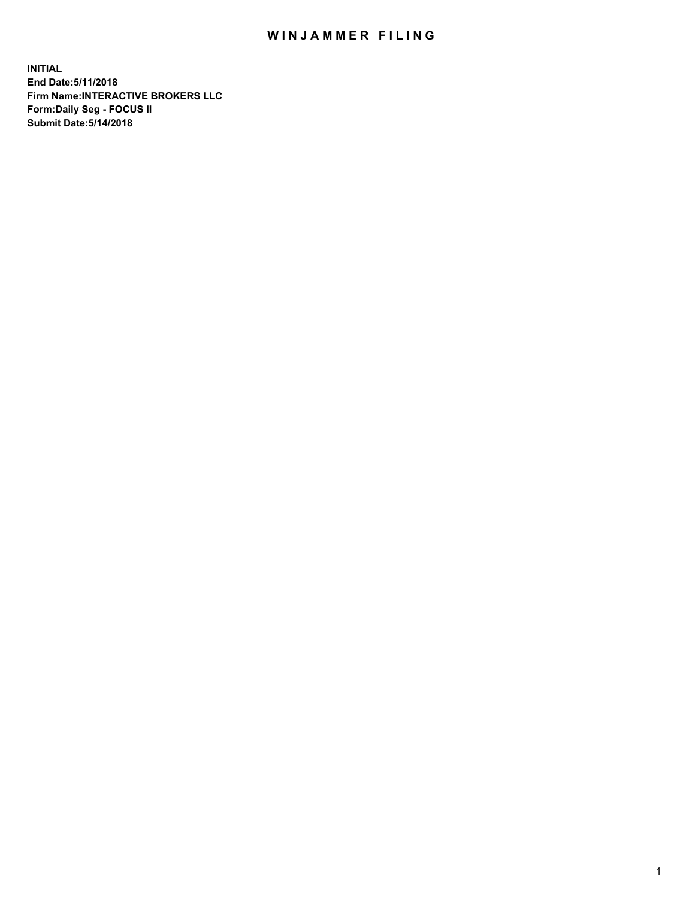## WIN JAMMER FILING

**INITIAL End Date:5/11/2018 Firm Name:INTERACTIVE BROKERS LLC Form:Daily Seg - FOCUS II Submit Date:5/14/2018**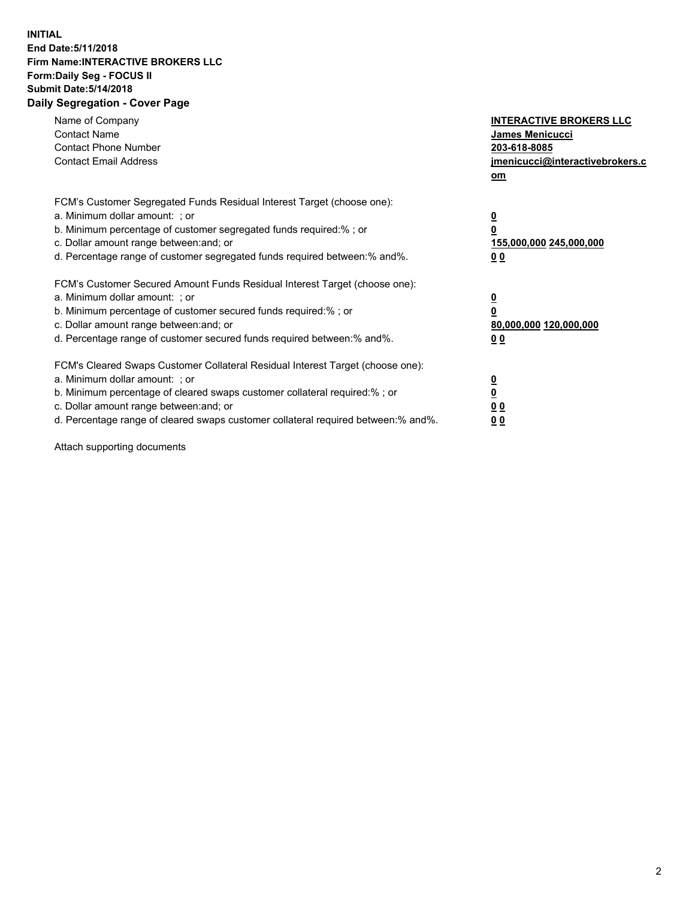## **INITIAL End Date:5/11/2018 Firm Name:INTERACTIVE BROKERS LLC Form:Daily Seg - FOCUS II Submit Date:5/14/2018 Daily Segregation - Cover Page**

| Name of Company<br><b>Contact Name</b><br><b>Contact Phone Number</b>                                                                                                                                                                                                                                                          | <b>INTERACTIVE BROKERS LLC</b><br><b>James Menicucci</b><br>203-618-8085                        |
|--------------------------------------------------------------------------------------------------------------------------------------------------------------------------------------------------------------------------------------------------------------------------------------------------------------------------------|-------------------------------------------------------------------------------------------------|
| <b>Contact Email Address</b>                                                                                                                                                                                                                                                                                                   | jmenicucci@interactivebrokers.c<br>om                                                           |
| FCM's Customer Segregated Funds Residual Interest Target (choose one):<br>a. Minimum dollar amount: ; or<br>b. Minimum percentage of customer segregated funds required:% ; or<br>c. Dollar amount range between: and; or<br>d. Percentage range of customer segregated funds required between:% and%.                         | $\overline{\mathbf{0}}$<br>$\overline{\mathbf{0}}$<br>155,000,000 245,000,000<br>0 <sub>0</sub> |
| FCM's Customer Secured Amount Funds Residual Interest Target (choose one):<br>a. Minimum dollar amount: ; or<br>b. Minimum percentage of customer secured funds required:%; or<br>c. Dollar amount range between: and; or<br>d. Percentage range of customer secured funds required between: % and %.                          | $\overline{\mathbf{0}}$<br>$\overline{\mathbf{0}}$<br>80,000,000 120,000,000<br>0 <sub>0</sub>  |
| FCM's Cleared Swaps Customer Collateral Residual Interest Target (choose one):<br>a. Minimum dollar amount: ; or<br>b. Minimum percentage of cleared swaps customer collateral required:% ; or<br>c. Dollar amount range between: and; or<br>d. Percentage range of cleared swaps customer collateral required between:% and%. | $\overline{\mathbf{0}}$<br>$\underline{\mathbf{0}}$<br>0 <sub>0</sub><br>0 <sup>0</sup>         |

Attach supporting documents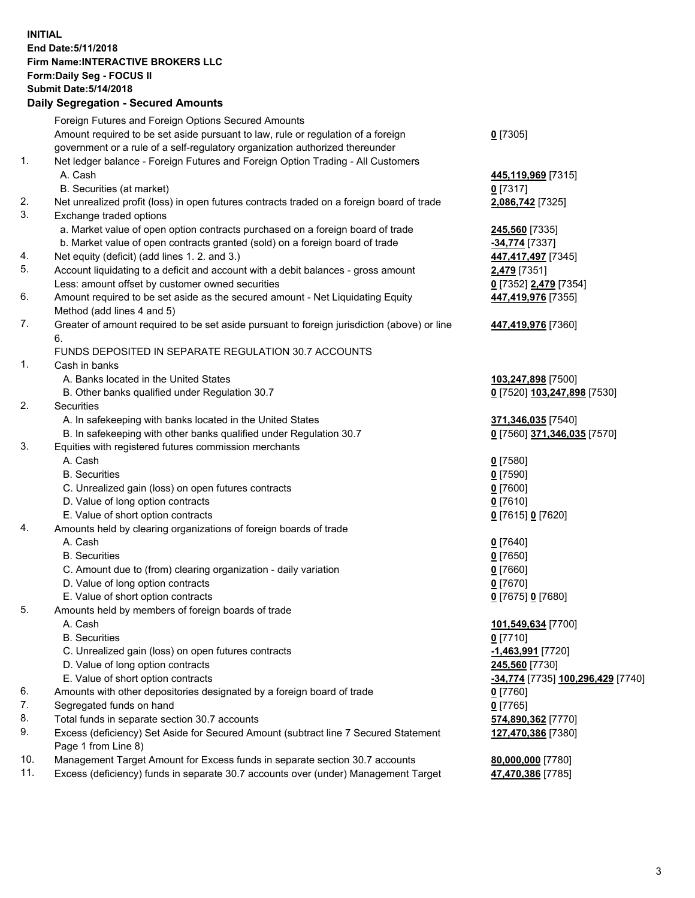## **INITIAL End Date:5/11/2018 Firm Name:INTERACTIVE BROKERS LLC Form:Daily Seg - FOCUS II Submit Date:5/14/2018 Daily Segregation - Secured Amounts**

|     | Daily Segregation - Secured Amounts                                                                        |                                   |
|-----|------------------------------------------------------------------------------------------------------------|-----------------------------------|
|     | Foreign Futures and Foreign Options Secured Amounts                                                        |                                   |
|     | Amount required to be set aside pursuant to law, rule or regulation of a foreign                           | $0$ [7305]                        |
|     | government or a rule of a self-regulatory organization authorized thereunder                               |                                   |
| 1.  | Net ledger balance - Foreign Futures and Foreign Option Trading - All Customers                            |                                   |
|     | A. Cash                                                                                                    | 445,119,969 [7315]                |
|     | B. Securities (at market)                                                                                  | $0$ [7317]                        |
| 2.  | Net unrealized profit (loss) in open futures contracts traded on a foreign board of trade                  | 2,086,742 [7325]                  |
| 3.  | Exchange traded options                                                                                    |                                   |
|     | a. Market value of open option contracts purchased on a foreign board of trade                             | 245,560 [7335]                    |
|     | b. Market value of open contracts granted (sold) on a foreign board of trade                               | $-34,774$ [7337]                  |
| 4.  | Net equity (deficit) (add lines 1. 2. and 3.)                                                              | 447,417,497 [7345]                |
| 5.  | Account liquidating to a deficit and account with a debit balances - gross amount                          | 2,479 [7351]                      |
|     | Less: amount offset by customer owned securities                                                           | 0 [7352] 2,479 [7354]             |
| 6.  | Amount required to be set aside as the secured amount - Net Liquidating Equity                             | 447,419,976 [7355]                |
|     | Method (add lines 4 and 5)                                                                                 |                                   |
| 7.  | Greater of amount required to be set aside pursuant to foreign jurisdiction (above) or line                | 447,419,976 [7360]                |
|     | 6.                                                                                                         |                                   |
|     | FUNDS DEPOSITED IN SEPARATE REGULATION 30.7 ACCOUNTS                                                       |                                   |
| 1.  | Cash in banks                                                                                              |                                   |
|     | A. Banks located in the United States                                                                      | 103,247,898 [7500]                |
|     | B. Other banks qualified under Regulation 30.7                                                             | 0 [7520] 103,247,898 [7530]       |
| 2.  | Securities                                                                                                 |                                   |
|     | A. In safekeeping with banks located in the United States                                                  | 371,346,035 [7540]                |
|     | B. In safekeeping with other banks qualified under Regulation 30.7                                         | 0 [7560] 371,346,035 [7570]       |
| 3.  | Equities with registered futures commission merchants                                                      |                                   |
|     | A. Cash                                                                                                    | $0$ [7580]                        |
|     | <b>B.</b> Securities                                                                                       | $0$ [7590]                        |
|     | C. Unrealized gain (loss) on open futures contracts                                                        | $0$ [7600]                        |
|     | D. Value of long option contracts                                                                          | $0$ [7610]                        |
|     | E. Value of short option contracts                                                                         | 0 [7615] 0 [7620]                 |
| 4.  | Amounts held by clearing organizations of foreign boards of trade                                          |                                   |
|     | A. Cash                                                                                                    | $0$ [7640]                        |
|     | <b>B.</b> Securities                                                                                       | $0$ [7650]                        |
|     | C. Amount due to (from) clearing organization - daily variation                                            | $0$ [7660]                        |
|     | D. Value of long option contracts                                                                          | $0$ [7670]                        |
|     | E. Value of short option contracts                                                                         | 0 [7675] 0 [7680]                 |
| 5.  | Amounts held by members of foreign boards of trade                                                         |                                   |
|     | A. Cash                                                                                                    | 101,549,634 [7700]                |
|     | <b>B.</b> Securities                                                                                       | $0$ [7710]                        |
|     | C. Unrealized gain (loss) on open futures contracts                                                        | -1,463,991 [7720]                 |
|     | D. Value of long option contracts                                                                          | 245,560 [7730]                    |
|     | E. Value of short option contracts                                                                         | -34,774 [7735] 100,296,429 [7740] |
| 6.  | Amounts with other depositories designated by a foreign board of trade                                     | 0 [7760]                          |
| 7.  | Segregated funds on hand                                                                                   | $0$ [7765]                        |
| 8.  | Total funds in separate section 30.7 accounts                                                              | 574,890,362 [7770]                |
| 9.  | Excess (deficiency) Set Aside for Secured Amount (subtract line 7 Secured Statement<br>Page 1 from Line 8) | 127,470,386 [7380]                |
| 10. | Management Target Amount for Excess funds in separate section 30.7 accounts                                | 80,000,000 [7780]                 |
| 11. | Excess (deficiency) funds in separate 30.7 accounts over (under) Management Target                         | 47,470,386 [7785]                 |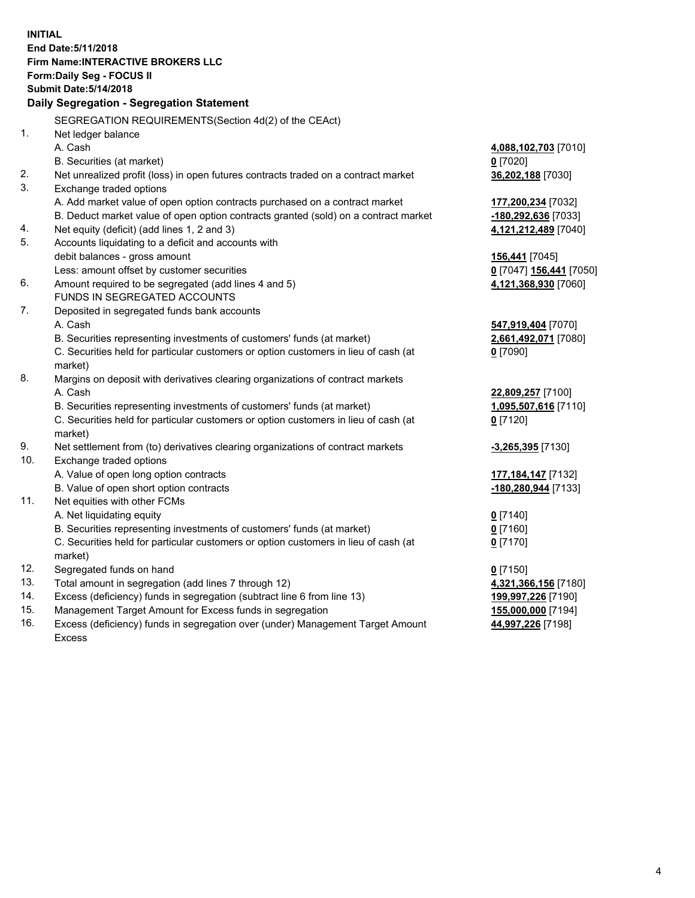**INITIAL End Date:5/11/2018 Firm Name:INTERACTIVE BROKERS LLC Form:Daily Seg - FOCUS II Submit Date:5/14/2018 Daily Segregation - Segregation Statement** SEGREGATION REQUIREMENTS(Section 4d(2) of the CEAct) 1. Net ledger balance A. Cash **4,088,102,703** [7010] B. Securities (at market) **0** [7020] 2. Net unrealized profit (loss) in open futures contracts traded on a contract market **36,202,188** [7030] 3. Exchange traded options A. Add market value of open option contracts purchased on a contract market **177,200,234** [7032] B. Deduct market value of open option contracts granted (sold) on a contract market **-180,292,636** [7033] 4. Net equity (deficit) (add lines 1, 2 and 3) **4,121,212,489** [7040] 5. Accounts liquidating to a deficit and accounts with debit balances - gross amount **156,441** [7045] Less: amount offset by customer securities **0** [7047] **156,441** [7050] 6. Amount required to be segregated (add lines 4 and 5) **4,121,368,930** [7060] FUNDS IN SEGREGATED ACCOUNTS 7. Deposited in segregated funds bank accounts A. Cash **547,919,404** [7070] B. Securities representing investments of customers' funds (at market) **2,661,492,071** [7080] C. Securities held for particular customers or option customers in lieu of cash (at market) **0** [7090] 8. Margins on deposit with derivatives clearing organizations of contract markets A. Cash **22,809,257** [7100] B. Securities representing investments of customers' funds (at market) **1,095,507,616** [7110] C. Securities held for particular customers or option customers in lieu of cash (at market) **0** [7120] 9. Net settlement from (to) derivatives clearing organizations of contract markets **-3,265,395** [7130] 10. Exchange traded options A. Value of open long option contracts **177,184,147** [7132] B. Value of open short option contracts **-180,280,944** [7133] 11. Net equities with other FCMs A. Net liquidating equity **0** [7140] B. Securities representing investments of customers' funds (at market) **0** [7160] C. Securities held for particular customers or option customers in lieu of cash (at market) **0** [7170] 12. Segregated funds on hand **0** [7150] 13. Total amount in segregation (add lines 7 through 12) **4,321,366,156** [7180] 14. Excess (deficiency) funds in segregation (subtract line 6 from line 13) **199,997,226** [7190] 15. Management Target Amount for Excess funds in segregation **155,000,000** [7194] **44,997,226** [7198]

16. Excess (deficiency) funds in segregation over (under) Management Target Amount Excess